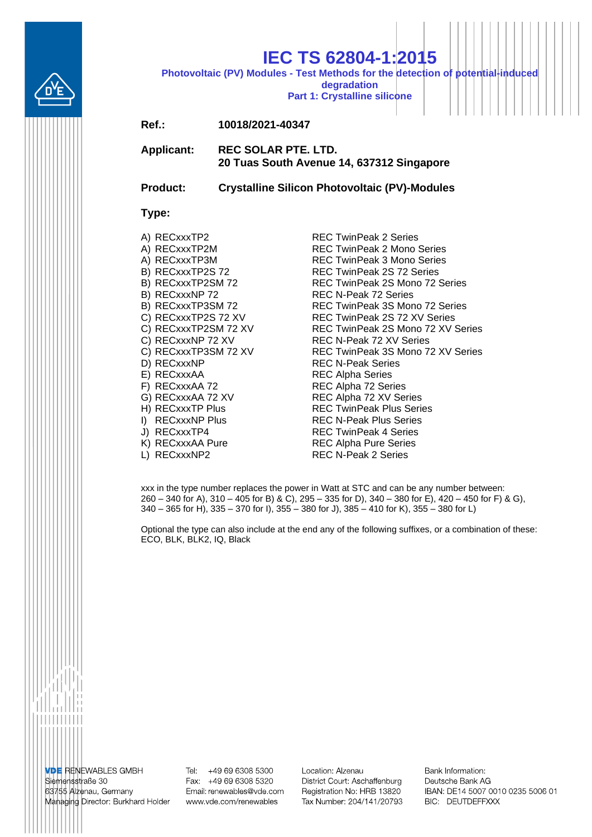

## **IEC TS 62804-1:2015**

**Photovoltaic (PV) Modules - Test Methods for the detection of potential-induced** 

**degradation Part 1: Crystalline silicone** 

## **Ref.: 10018/2021-40347**

**Applicant: REC SOLAR PTE. LTD. 20 Tuas South Avenue 14, 637312 Singapore**

**Product: Crystalline Silicon Photovoltaic (PV)-Modules**

## **Type:**

- 
- 
- 
- 
- 
- 
- 
- 
- 
- 
- 
- 
- 
- 
- 
- 
- 
- 
- 
- 
- A) RECxxxTP2 REC TwinPeak 2 Series A) RECxxxTP2M REC TwinPeak 2 Mono Series A) RECxxxTP3M REC TwinPeak 3 Mono Series B) RECxxxTP2S 72 REC TwinPeak 2S 72 Series B) RECxxxTP2SM 72 REC TwinPeak 2S Mono 72 Series B) RECxxxNP 72 REC N-Peak 72 Series B) RECxxxTP3SM 72 REC TwinPeak 3S Mono 72 Series C) RECxxxTP2S 72 XV REC TwinPeak 2S 72 XV Series C) RECxxxTP2SM 72 XV REC TwinPeak 2S Mono 72 XV Series C) RECxxxNP 72 XV REC N-Peak 72 XV Series C) RECxxxTP3SM 72 XV REC TwinPeak 3S Mono 72 XV Series<br>D) RECxxxNP REC N-Peak Series **REC N-Peak Series** E) RECxxxAA REC Alpha Series F) RECxxxAA 72 REC Alpha 72 Series<br>G) RECxxxAA 72 XV REC Alpha 72 XV Ser REC Alpha 72 XV Series H) RECxxxTP Plus REC TwinPeak Plus Series I) RECxxxNP Plus REC N-Peak Plus Series J) RECxxxTP4 REC TwinPeak 4 Series K) RECxxxAA Pure REC Alpha Pure Series L) RECxxxNP2 REC N-Peak 2 Series

xxx in the type number replaces the power in Watt at STC and can be any number between: 260 – 340 for A), 310 – 405 for B) & C), 295 – 335 for D), 340 – 380 for E), 420 – 450 for F) & G), 340 – 365 for H), 335 – 370 for I), 355 – 380 for J), 385 – 410 for K), 355 – 380 for L)

Optional the type can also include at the end any of the following suffixes, or a combination of these: ECO, BLK, BLK2, IQ, Black

**VDE RENEWABLES GMBH** Siemensstraße 30 63755 Alzenau, Germany Managing Director: Burkhard Holder

Tel: +49 69 6308 5300 Fax: +49 69 6308 5320 Email: renewables@vde.com www.vde.com/renewables

Location: Alzenau District Court: Aschaffenburg Registration No: HRB 13820 Tax Number: 204/141/20793 Bank Information: Deutsche Bank AG IBAN: DE14 5007 0010 0235 5006 01 BIC: DEUTDEFFXXX